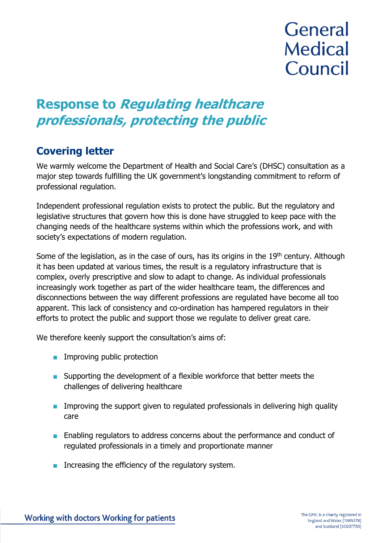# **General Medical** Council

## **Response to Regulating healthcare professionals, protecting the public**

### **Covering letter**

We warmly welcome the Department of Health and Social Care's (DHSC) consultation as a major step towards fulfilling the UK government's longstanding commitment to reform of professional regulation.

Independent professional regulation exists to protect the public. But the regulatory and legislative structures that govern how this is done have struggled to keep pace with the changing needs of the healthcare systems within which the professions work, and with society's expectations of modern regulation.

Some of the legislation, as in the case of ours, has its origins in the  $19<sup>th</sup>$  century. Although it has been updated at various times, the result is a regulatory infrastructure that is complex, overly prescriptive and slow to adapt to change. As individual professionals increasingly work together as part of the wider healthcare team, the differences and disconnections between the way different professions are regulated have become all too apparent. This lack of consistency and co-ordination has hampered regulators in their efforts to protect the public and support those we regulate to deliver great care.

We therefore keenly support the consultation's aims of:

- Improving public protection
- Supporting the development of a flexible workforce that better meets the challenges of delivering healthcare
- **■** Improving the support given to regulated professionals in delivering high quality care
- Enabling regulators to address concerns about the performance and conduct of regulated professionals in a timely and proportionate manner
- Increasing the efficiency of the regulatory system.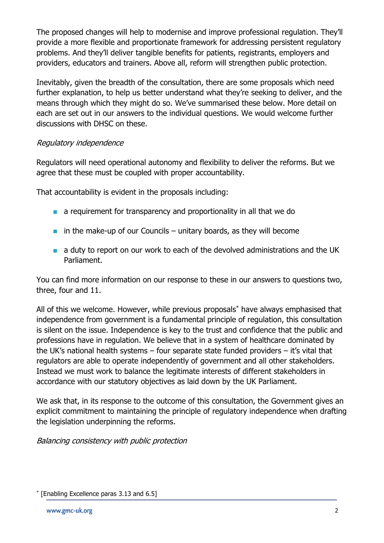The proposed changes will help to modernise and improve professional regulation. They'll provide a more flexible and proportionate framework for addressing persistent regulatory problems. And they'll deliver tangible benefits for patients, registrants, employers and providers, educators and trainers. Above all, reform will strengthen public protection.

Inevitably, given the breadth of the consultation, there are some proposals which need further explanation, to help us better understand what they're seeking to deliver, and the means through which they might do so. We've summarised these below. More detail on each are set out in our answers to the individual questions. We would welcome further discussions with DHSC on these.

### Regulatory independence

Regulators will need operational autonomy and flexibility to deliver the reforms. But we agree that these must be coupled with proper accountability.

That accountability is evident in the proposals including:

- a requirement for transparency and proportionality in all that we do
- $\blacksquare$  in the make-up of our Councils unitary boards, as they will become
- a duty to report on our work to each of the devolved administrations and the UK Parliament.

You can find more information on our response to these in our answers to questions two, three, four and 11.

All of this we welcome. However, while previous proposals<sup>\*</sup> have always emphasised that independence from government is a fundamental principle of regulation, this consultation is silent on the issue. Independence is key to the trust and confidence that the public and professions have in regulation. We believe that in a system of healthcare dominated by the UK's national health systems – four separate state funded providers – it's vital that regulators are able to operate independently of government and all other stakeholders. Instead we must work to balance the legitimate interests of different stakeholders in accordance with our statutory objectives as laid down by the UK Parliament.

We ask that, in its response to the outcome of this consultation, the Government gives an explicit commitment to maintaining the principle of regulatory independence when drafting the legislation underpinning the reforms.

Balancing consistency with public protection

<sup>\*</sup> [Enabling Excellence paras 3.13 and 6.5]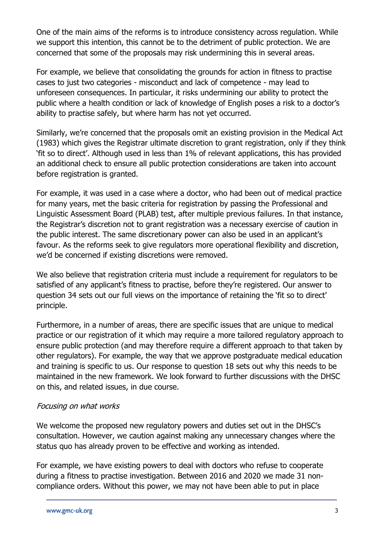One of the main aims of the reforms is to introduce consistency across regulation. While we support this intention, this cannot be to the detriment of public protection. We are concerned that some of the proposals may risk undermining this in several areas.

For example, we believe that consolidating the grounds for action in fitness to practise cases to just two categories - misconduct and lack of competence - may lead to unforeseen consequences. In particular, it risks undermining our ability to protect the public where a health condition or lack of knowledge of English poses a risk to a doctor's ability to practise safely, but where harm has not yet occurred.

Similarly, we're concerned that the proposals omit an existing provision in the Medical Act (1983) which gives the Registrar ultimate discretion to grant registration, only if they think 'fit so to direct'. Although used in less than 1% of relevant applications, this has provided an additional check to ensure all public protection considerations are taken into account before registration is granted.

For example, it was used in a case where a doctor, who had been out of medical practice for many years, met the basic criteria for registration by passing the Professional and Linguistic Assessment Board (PLAB) test, after multiple previous failures. In that instance, the Registrar's discretion not to grant registration was a necessary exercise of caution in the public interest. The same discretionary power can also be used in an applicant's favour. As the reforms seek to give regulators more operational flexibility and discretion, we'd be concerned if existing discretions were removed.

We also believe that registration criteria must include a requirement for regulators to be satisfied of any applicant's fitness to practise, before they're registered. Our answer to question 34 sets out our full views on the importance of retaining the 'fit so to direct' principle.

Furthermore, in a number of areas, there are specific issues that are unique to medical practice or our registration of it which may require a more tailored regulatory approach to ensure public protection (and may therefore require a different approach to that taken by other regulators). For example, the way that we approve postgraduate medical education and training is specific to us. Our response to question 18 sets out why this needs to be maintained in the new framework. We look forward to further discussions with the DHSC on this, and related issues, in due course.

### Focusing on what works

We welcome the proposed new regulatory powers and duties set out in the DHSC's consultation. However, we caution against making any unnecessary changes where the status quo has already proven to be effective and working as intended.

For example, we have existing powers to deal with doctors who refuse to cooperate during a fitness to practise investigation. Between 2016 and 2020 we made 31 noncompliance orders. Without this power, we may not have been able to put in place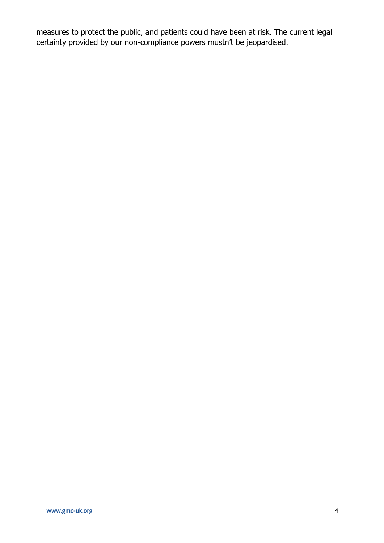measures to protect the public, and patients could have been at risk. The current legal certainty provided by our non-compliance powers mustn't be jeopardised.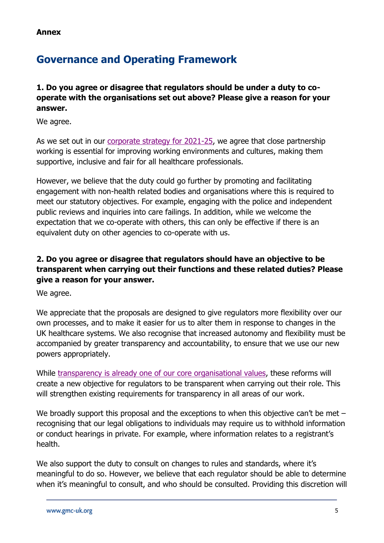**Annex**

### **Governance and Operating Framework**

**1. Do you agree or disagree that regulators should be under a duty to cooperate with the organisations set out above? Please give a reason for your answer.** 

We agree.

As we set out in our [corporate strategy for 2021-25,](https://www.gmc-uk.org/about/how-we-work/corporate-strategy-plans-and-impact/corporate-strategy) we agree that close partnership working is essential for improving working environments and cultures, making them supportive, inclusive and fair for all healthcare professionals.

However, we believe that the duty could go further by promoting and facilitating engagement with non-health related bodies and organisations where this is required to meet our statutory objectives. For example, engaging with the police and independent public reviews and inquiries into care failings. In addition, while we welcome the expectation that we co-operate with others, this can only be effective if there is an equivalent duty on other agencies to co-operate with us.

### **2. Do you agree or disagree that regulators should have an objective to be transparent when carrying out their functions and these related duties? Please give a reason for your answer.**

We agree.

We appreciate that the proposals are designed to give regulators more flexibility over our own processes, and to make it easier for us to alter them in response to changes in the UK healthcare systems. We also recognise that increased autonomy and flexibility must be accompanied by greater transparency and accountability, to ensure that we use our new powers appropriately.

While [transparency is already one of our core organisational values,](https://www.gmc-uk.org/about/how-we-work/our-values) these reforms will create a new objective for regulators to be transparent when carrying out their role. This will strengthen existing requirements for transparency in all areas of our work.

We broadly support this proposal and the exceptions to when this objective can't be met – recognising that our legal obligations to individuals may require us to withhold information or conduct hearings in private. For example, where information relates to a registrant's health.

We also support the duty to consult on changes to rules and standards, where it's meaningful to do so. However, we believe that each regulator should be able to determine when it's meaningful to consult, and who should be consulted. Providing this discretion will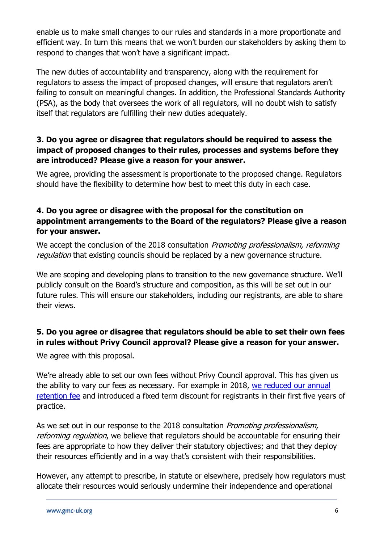enable us to make small changes to our rules and standards in a more proportionate and efficient way. In turn this means that we won't burden our stakeholders by asking them to respond to changes that won't have a significant impact.

The new duties of accountability and transparency, along with the requirement for regulators to assess the impact of proposed changes, will ensure that regulators aren't failing to consult on meaningful changes. In addition, the Professional Standards Authority (PSA), as the body that oversees the work of all regulators, will no doubt wish to satisfy itself that regulators are fulfilling their new duties adequately.

### **3. Do you agree or disagree that regulators should be required to assess the impact of proposed changes to their rules, processes and systems before they are introduced? Please give a reason for your answer.**

We agree, providing the assessment is proportionate to the proposed change. Regulators should have the flexibility to determine how best to meet this duty in each case.

### **4. Do you agree or disagree with the proposal for the constitution on appointment arrangements to the Board of the regulators? Please give a reason for your answer.**

We accept the conclusion of the 2018 consultation *Promoting professionalism, reforming* regulation that existing councils should be replaced by a new governance structure.

We are scoping and developing plans to transition to the new governance structure. We'll publicly consult on the Board's structure and composition, as this will be set out in our future rules. This will ensure our stakeholders, including our registrants, are able to share their views.

### **5. Do you agree or disagree that regulators should be able to set their own fees in rules without Privy Council approval? Please give a reason for your answer.**

We agree with this proposal.

We're already able to set our own fees without Privy Council approval. This has given us the ability to vary our fees as necessary. For example in 2018, [we reduced](https://www.gmc-uk.org/registration-and-licensing/managing-your-registration/fees-and-funding/lower-fees-in-2018) our annual [retention fee](https://www.gmc-uk.org/registration-and-licensing/managing-your-registration/fees-and-funding/lower-fees-in-2018) and introduced a fixed term discount for registrants in their first five years of practice.

As we set out in our response to the 2018 consultation *Promoting professionalism*, reforming regulation, we believe that regulators should be accountable for ensuring their fees are appropriate to how they deliver their statutory objectives; and that they deploy their resources efficiently and in a way that's consistent with their responsibilities.

However, any attempt to prescribe, in statute or elsewhere, precisely how regulators must allocate their resources would seriously undermine their independence and operational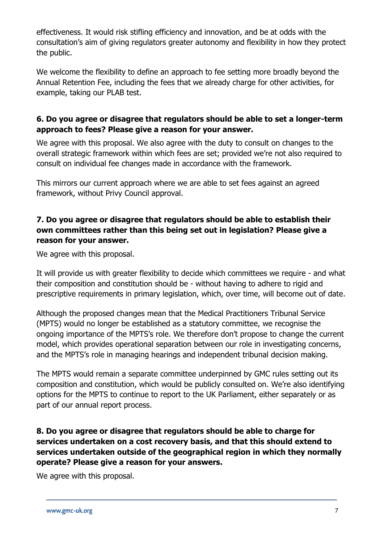effectiveness. It would risk stifling efficiency and innovation, and be at odds with the consultation's aim of giving regulators greater autonomy and flexibility in how they protect the public.

We welcome the flexibility to define an approach to fee setting more broadly beyond the Annual Retention Fee, including the fees that we already charge for other activities, for example, taking our PLAB test.

### **6. Do you agree or disagree that regulators should be able to set a longer-term approach to fees? Please give a reason for your answer.**

We agree with this proposal. We also agree with the duty to consult on changes to the overall strategic framework within which fees are set; provided we're not also required to consult on individual fee changes made in accordance with the framework.

This mirrors our current approach where we are able to set fees against an agreed framework, without Privy Council approval.

### **7. Do you agree or disagree that regulators should be able to establish their own committees rather than this being set out in legislation? Please give a reason for your answer.**

We agree with this proposal.

It will provide us with greater flexibility to decide which committees we require - and what their composition and constitution should be - without having to adhere to rigid and prescriptive requirements in primary legislation, which, over time, will become out of date.

Although the proposed changes mean that the Medical Practitioners Tribunal Service (MPTS) would no longer be established as a statutory committee, we recognise the ongoing importance of the MPTS's role. We therefore don't propose to change the current model, which provides operational separation between our role in investigating concerns, and the MPTS's role in managing hearings and independent tribunal decision making.

The MPTS would remain a separate committee underpinned by GMC rules setting out its composition and constitution, which would be publicly consulted on. We're also identifying options for the MPTS to continue to report to the UK Parliament, either separately or as part of our annual report process.

### **8. Do you agree or disagree that regulators should be able to charge for services undertaken on a cost recovery basis, and that this should extend to services undertaken outside of the geographical region in which they normally operate? Please give a reason for your answers.**

We agree with this proposal.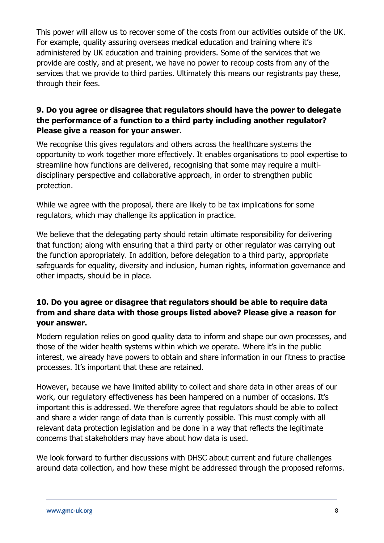This power will allow us to recover some of the costs from our activities outside of the UK. For example, quality assuring overseas medical education and training where it's administered by UK education and training providers. Some of the services that we provide are costly, and at present, we have no power to recoup costs from any of the services that we provide to third parties. Ultimately this means our registrants pay these, through their fees.

### **9. Do you agree or disagree that regulators should have the power to delegate the performance of a function to a third party including another regulator? Please give a reason for your answer.**

We recognise this gives regulators and others across the healthcare systems the opportunity to work together more effectively. It enables organisations to pool expertise to streamline how functions are delivered, recognising that some may require a multidisciplinary perspective and collaborative approach, in order to strengthen public protection.

While we agree with the proposal, there are likely to be tax implications for some regulators, which may challenge its application in practice.

We believe that the delegating party should retain ultimate responsibility for delivering that function; along with ensuring that a third party or other regulator was carrying out the function appropriately. In addition, before delegation to a third party, appropriate safeguards for equality, diversity and inclusion, human rights, information governance and other impacts, should be in place.

### **10. Do you agree or disagree that regulators should be able to require data from and share data with those groups listed above? Please give a reason for your answer.**

Modern regulation relies on good quality data to inform and shape our own processes, and those of the wider health systems within which we operate. Where it's in the public interest, we already have powers to obtain and share information in our fitness to practise processes. It's important that these are retained.

However, because we have limited ability to collect and share data in other areas of our work, our regulatory effectiveness has been hampered on a number of occasions. It's important this is addressed. We therefore agree that regulators should be able to collect and share a wider range of data than is currently possible. This must comply with all relevant data protection legislation and be done in a way that reflects the legitimate concerns that stakeholders may have about how data is used.

We look forward to further discussions with DHSC about current and future challenges around data collection, and how these might be addressed through the proposed reforms.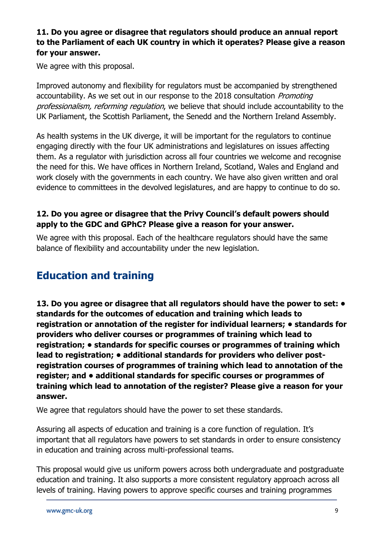### **11. Do you agree or disagree that regulators should produce an annual report to the Parliament of each UK country in which it operates? Please give a reason for your answer.**

We agree with this proposal.

Improved autonomy and flexibility for regulators must be accompanied by strengthened accountability. As we set out in our response to the 2018 consultation *Promoting* professionalism, reforming regulation, we believe that should include accountability to the UK Parliament, the Scottish Parliament, the Senedd and the Northern Ireland Assembly.

As health systems in the UK diverge, it will be important for the regulators to continue engaging directly with the four UK administrations and legislatures on issues affecting them. As a regulator with jurisdiction across all four countries we welcome and recognise the need for this. We have offices in Northern Ireland, Scotland, Wales and England and work closely with the governments in each country. We have also given written and oral evidence to committees in the devolved legislatures, and are happy to continue to do so.

### **12. Do you agree or disagree that the Privy Council's default powers should apply to the GDC and GPhC? Please give a reason for your answer.**

We agree with this proposal. Each of the healthcare regulators should have the same balance of flexibility and accountability under the new legislation.

### **Education and training**

**13. Do you agree or disagree that all regulators should have the power to set: • standards for the outcomes of education and training which leads to registration or annotation of the register for individual learners; • standards for providers who deliver courses or programmes of training which lead to registration; • standards for specific courses or programmes of training which lead to registration; • additional standards for providers who deliver postregistration courses of programmes of training which lead to annotation of the register; and • additional standards for specific courses or programmes of training which lead to annotation of the register? Please give a reason for your answer.**

We agree that regulators should have the power to set these standards.

Assuring all aspects of education and training is a core function of regulation. It's important that all regulators have powers to set standards in order to ensure consistency in education and training across multi-professional teams.

This proposal would give us uniform powers across both undergraduate and postgraduate education and training. It also supports a more consistent regulatory approach across all levels of training. Having powers to approve specific courses and training programmes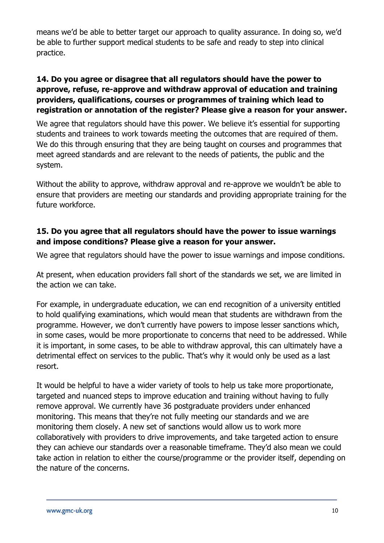means we'd be able to better target our approach to quality assurance. In doing so, we'd be able to further support medical students to be safe and ready to step into clinical practice.

### **14. Do you agree or disagree that all regulators should have the power to approve, refuse, re-approve and withdraw approval of education and training providers, qualifications, courses or programmes of training which lead to registration or annotation of the register? Please give a reason for your answer.**

We agree that regulators should have this power. We believe it's essential for supporting students and trainees to work towards meeting the outcomes that are required of them. We do this through ensuring that they are being taught on courses and programmes that meet agreed standards and are relevant to the needs of patients, the public and the system.

Without the ability to approve, withdraw approval and re-approve we wouldn't be able to ensure that providers are meeting our standards and providing appropriate training for the future workforce.

### **15. Do you agree that all regulators should have the power to issue warnings and impose conditions? Please give a reason for your answer.**

We agree that regulators should have the power to issue warnings and impose conditions.

At present, when education providers fall short of the standards we set, we are limited in the action we can take.

For example, in undergraduate education, we can end recognition of a university entitled to hold qualifying examinations, which would mean that students are withdrawn from the programme. However, we don't currently have powers to impose lesser sanctions which, in some cases, would be more proportionate to concerns that need to be addressed. While it is important, in some cases, to be able to withdraw approval, this can ultimately have a detrimental effect on services to the public. That's why it would only be used as a last resort.

It would be helpful to have a wider variety of tools to help us take more proportionate, targeted and nuanced steps to improve education and training without having to fully remove approval. We currently have 36 postgraduate providers under enhanced monitoring. This means that they're not fully meeting our standards and we are monitoring them closely. A new set of sanctions would allow us to work more collaboratively with providers to drive improvements, and take targeted action to ensure they can achieve our standards over a reasonable timeframe. They'd also mean we could take action in relation to either the course/programme or the provider itself, depending on the nature of the concerns.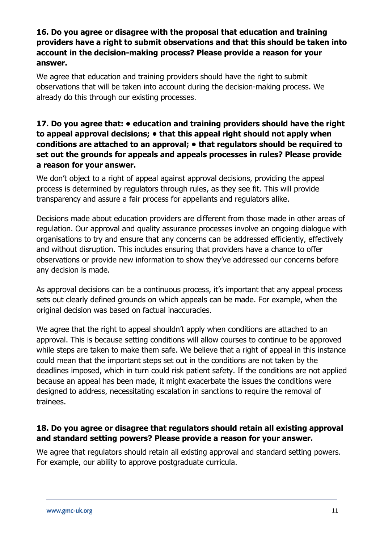### **16. Do you agree or disagree with the proposal that education and training providers have a right to submit observations and that this should be taken into account in the decision-making process? Please provide a reason for your answer.**

We agree that education and training providers should have the right to submit observations that will be taken into account during the decision-making process. We already do this through our existing processes.

### **17. Do you agree that: • education and training providers should have the right to appeal approval decisions; • that this appeal right should not apply when conditions are attached to an approval; • that regulators should be required to set out the grounds for appeals and appeals processes in rules? Please provide a reason for your answer.**

We don't object to a right of appeal against approval decisions, providing the appeal process is determined by regulators through rules, as they see fit. This will provide transparency and assure a fair process for appellants and regulators alike.

Decisions made about education providers are different from those made in other areas of regulation. Our approval and quality assurance processes involve an ongoing dialogue with organisations to try and ensure that any concerns can be addressed efficiently, effectively and without disruption. This includes ensuring that providers have a chance to offer observations or provide new information to show they've addressed our concerns before any decision is made.

As approval decisions can be a continuous process, it's important that any appeal process sets out clearly defined grounds on which appeals can be made. For example, when the original decision was based on factual inaccuracies.

We agree that the right to appeal shouldn't apply when conditions are attached to an approval. This is because setting conditions will allow courses to continue to be approved while steps are taken to make them safe. We believe that a right of appeal in this instance could mean that the important steps set out in the conditions are not taken by the deadlines imposed, which in turn could risk patient safety. If the conditions are not applied because an appeal has been made, it might exacerbate the issues the conditions were designed to address, necessitating escalation in sanctions to require the removal of trainees.

### **18. Do you agree or disagree that regulators should retain all existing approval and standard setting powers? Please provide a reason for your answer.**

We agree that regulators should retain all existing approval and standard setting powers. For example, our ability to approve postgraduate curricula.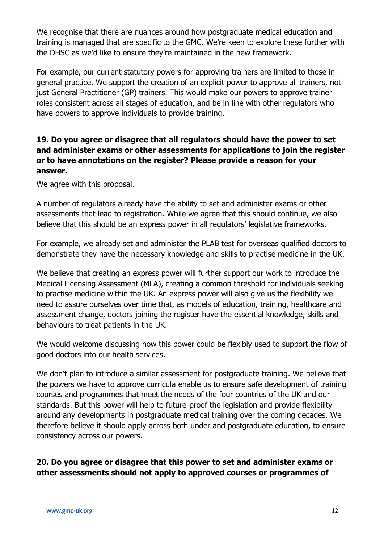We recognise that there are nuances around how postgraduate medical education and training is managed that are specific to the GMC. We're keen to explore these further with the DHSC as we'd like to ensure they're maintained in the new framework.

For example, our current statutory powers for approving trainers are limited to those in general practice. We support the creation of an explicit power to approve all trainers, not just General Practitioner (GP) trainers. This would make our powers to approve trainer roles consistent across all stages of education, and be in line with other regulators who have powers to approve individuals to provide training.

### **19. Do you agree or disagree that all regulators should have the power to set and administer exams or other assessments for applications to join the register or to have annotations on the register? Please provide a reason for your answer.**

We agree with this proposal.

A number of regulators already have the ability to set and administer exams or other assessments that lead to registration. While we agree that this should continue, we also believe that this should be an express power in all regulators' legislative frameworks.

For example, we already set and administer the PLAB test for overseas qualified doctors to demonstrate they have the necessary knowledge and skills to practise medicine in the UK.

We believe that creating an express power will further support our work to introduce the Medical Licensing Assessment (MLA), creating a common threshold for individuals seeking to practise medicine within the UK. An express power will also give us the flexibility we need to assure ourselves over time that, as models of education, training, healthcare and assessment change, doctors joining the register have the essential knowledge, skills and behaviours to treat patients in the UK.

We would welcome discussing how this power could be flexibly used to support the flow of good doctors into our health services.

We don't plan to introduce a similar assessment for postgraduate training. We believe that the powers we have to approve curricula enable us to ensure safe development of training courses and programmes that meet the needs of the four countries of the UK and our standards. But this power will help to future-proof the legislation and provide flexibility around any developments in postgraduate medical training over the coming decades. We therefore believe it should apply across both under and postgraduate education, to ensure consistency across our powers.

### **20. Do you agree or disagree that this power to set and administer exams or other assessments should not apply to approved courses or programmes of**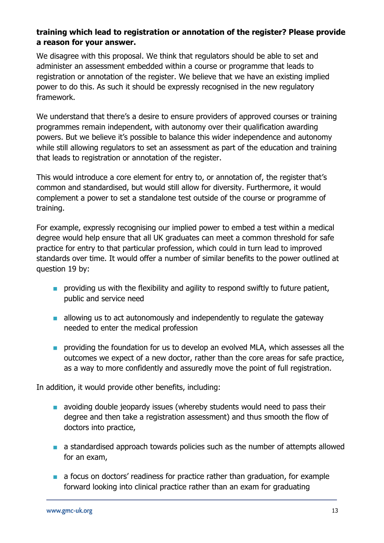### **training which lead to registration or annotation of the register? Please provide a reason for your answer.**

We disagree with this proposal. We think that regulators should be able to set and administer an assessment embedded within a course or programme that leads to registration or annotation of the register. We believe that we have an existing implied power to do this. As such it should be expressly recognised in the new regulatory framework.

We understand that there's a desire to ensure providers of approved courses or training programmes remain independent, with autonomy over their qualification awarding powers. But we believe it's possible to balance this wider independence and autonomy while still allowing regulators to set an assessment as part of the education and training that leads to registration or annotation of the register.

This would introduce a core element for entry to, or annotation of, the register that's common and standardised, but would still allow for diversity. Furthermore, it would complement a power to set a standalone test outside of the course or programme of training.

For example, expressly recognising our implied power to embed a test within a medical degree would help ensure that all UK graduates can meet a common threshold for safe practice for entry to that particular profession, which could in turn lead to improved standards over time. It would offer a number of similar benefits to the power outlined at question 19 by:

- providing us with the flexibility and agility to respond swiftly to future patient, public and service need
- allowing us to act autonomously and independently to regulate the gateway needed to enter the medical profession
- **■** providing the foundation for us to develop an evolved MLA, which assesses all the outcomes we expect of a new doctor, rather than the core areas for safe practice, as a way to more confidently and assuredly move the point of full registration.

In addition, it would provide other benefits, including:

- avoiding double jeopardy issues (whereby students would need to pass their degree and then take a registration assessment) and thus smooth the flow of doctors into practice,
- a standardised approach towards policies such as the number of attempts allowed for an exam,
- a focus on doctors' readiness for practice rather than graduation, for example forward looking into clinical practice rather than an exam for graduating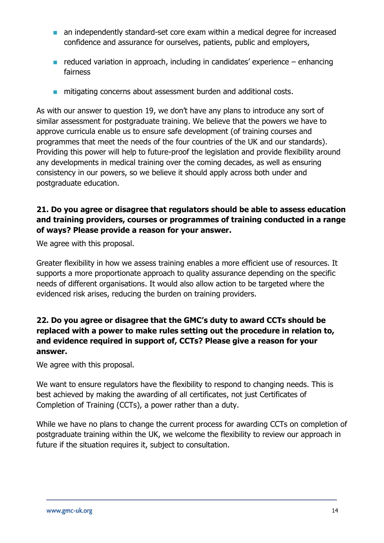- an independently standard-set core exam within a medical degree for increased confidence and assurance for ourselves, patients, public and employers,
- $\blacksquare$  reduced variation in approach, including in candidates' experience enhancing fairness
- mitigating concerns about assessment burden and additional costs.

As with our answer to question 19, we don't have any plans to introduce any sort of similar assessment for postgraduate training. We believe that the powers we have to approve curricula enable us to ensure safe development (of training courses and programmes that meet the needs of the four countries of the UK and our standards). Providing this power will help to future-proof the legislation and provide flexibility around any developments in medical training over the coming decades, as well as ensuring consistency in our powers, so we believe it should apply across both under and postgraduate education.

### **21. Do you agree or disagree that regulators should be able to assess education and training providers, courses or programmes of training conducted in a range of ways? Please provide a reason for your answer.**

We agree with this proposal.

Greater flexibility in how we assess training enables a more efficient use of resources. It supports a more proportionate approach to quality assurance depending on the specific needs of different organisations. It would also allow action to be targeted where the evidenced risk arises, reducing the burden on training providers.

### **22. Do you agree or disagree that the GMC's duty to award CCTs should be replaced with a power to make rules setting out the procedure in relation to, and evidence required in support of, CCTs? Please give a reason for your answer.**

We agree with this proposal.

We want to ensure regulators have the flexibility to respond to changing needs. This is best achieved by making the awarding of all certificates, not just Certificates of Completion of Training (CCTs), a power rather than a duty.

While we have no plans to change the current process for awarding CCTs on completion of postgraduate training within the UK, we welcome the flexibility to review our approach in future if the situation requires it, subject to consultation.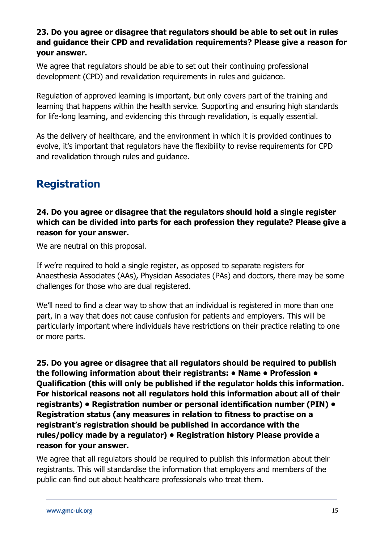### **23. Do you agree or disagree that regulators should be able to set out in rules and guidance their CPD and revalidation requirements? Please give a reason for your answer.**

We agree that regulators should be able to set out their continuing professional development (CPD) and revalidation requirements in rules and guidance.

Regulation of approved learning is important, but only covers part of the training and learning that happens within the health service. Supporting and ensuring high standards for life-long learning, and evidencing this through revalidation, is equally essential.

As the delivery of healthcare, and the environment in which it is provided continues to evolve, it's important that regulators have the flexibility to revise requirements for CPD and revalidation through rules and guidance.

### **Registration**

### **24. Do you agree or disagree that the regulators should hold a single register which can be divided into parts for each profession they regulate? Please give a reason for your answer.**

We are neutral on this proposal.

If we're required to hold a single register, as opposed to separate registers for Anaesthesia Associates (AAs), Physician Associates (PAs) and doctors, there may be some challenges for those who are dual registered.

We'll need to find a clear way to show that an individual is registered in more than one part, in a way that does not cause confusion for patients and employers. This will be particularly important where individuals have restrictions on their practice relating to one or more parts.

**25. Do you agree or disagree that all regulators should be required to publish the following information about their registrants: • Name • Profession • Qualification (this will only be published if the regulator holds this information. For historical reasons not all regulators hold this information about all of their registrants) • Registration number or personal identification number (PIN) • Registration status (any measures in relation to fitness to practise on a registrant's registration should be published in accordance with the rules/policy made by a regulator) • Registration history Please provide a reason for your answer.**

We agree that all regulators should be required to publish this information about their registrants. This will standardise the information that employers and members of the public can find out about healthcare professionals who treat them.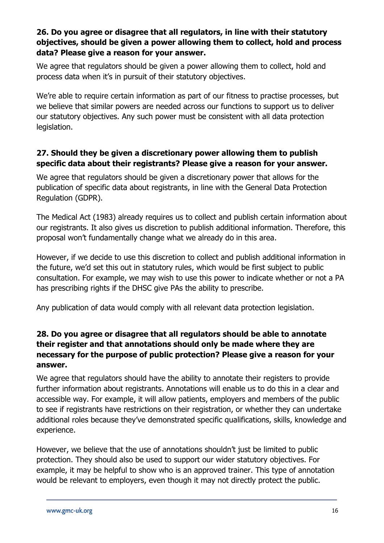### **26. Do you agree or disagree that all regulators, in line with their statutory objectives, should be given a power allowing them to collect, hold and process data? Please give a reason for your answer.**

We agree that regulators should be given a power allowing them to collect, hold and process data when it's in pursuit of their statutory objectives.

We're able to require certain information as part of our fitness to practise processes, but we believe that similar powers are needed across our functions to support us to deliver our statutory objectives. Any such power must be consistent with all data protection legislation.

### **27. Should they be given a discretionary power allowing them to publish specific data about their registrants? Please give a reason for your answer.**

We agree that regulators should be given a discretionary power that allows for the publication of specific data about registrants, in line with the General Data Protection Regulation (GDPR).

The Medical Act (1983) already requires us to collect and publish certain information about our registrants. It also gives us discretion to publish additional information. Therefore, this proposal won't fundamentally change what we already do in this area.

However, if we decide to use this discretion to collect and publish additional information in the future, we'd set this out in statutory rules, which would be first subject to public consultation. For example, we may wish to use this power to indicate whether or not a PA has prescribing rights if the DHSC give PAs the ability to prescribe.

Any publication of data would comply with all relevant data protection legislation.

### **28. Do you agree or disagree that all regulators should be able to annotate their register and that annotations should only be made where they are necessary for the purpose of public protection? Please give a reason for your answer.**

We agree that regulators should have the ability to annotate their registers to provide further information about registrants. Annotations will enable us to do this in a clear and accessible way. For example, it will allow patients, employers and members of the public to see if registrants have restrictions on their registration, or whether they can undertake additional roles because they've demonstrated specific qualifications, skills, knowledge and experience.

However, we believe that the use of annotations shouldn't just be limited to public protection. They should also be used to support our wider statutory objectives. For example, it may be helpful to show who is an approved trainer. This type of annotation would be relevant to employers, even though it may not directly protect the public.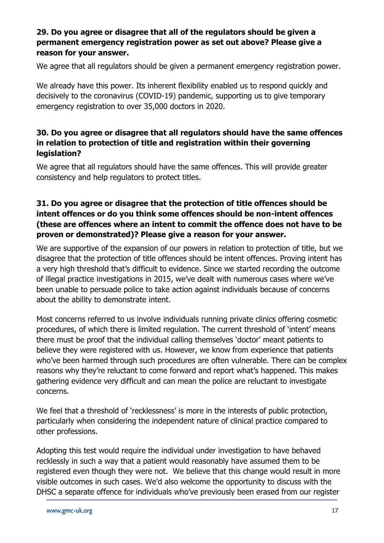### **29. Do you agree or disagree that all of the regulators should be given a permanent emergency registration power as set out above? Please give a reason for your answer.**

We agree that all regulators should be given a permanent emergency registration power.

We already have this power. Its inherent flexibility enabled us to respond quickly and decisively to the coronavirus (COVID-19) pandemic, supporting us to give temporary emergency registration to over 35,000 doctors in 2020.

### **30. Do you agree or disagree that all regulators should have the same offences in relation to protection of title and registration within their governing legislation?**

We agree that all regulators should have the same offences. This will provide greater consistency and help regulators to protect titles.

### **31. Do you agree or disagree that the protection of title offences should be intent offences or do you think some offences should be non-intent offences (these are offences where an intent to commit the offence does not have to be proven or demonstrated)? Please give a reason for your answer.**

We are supportive of the expansion of our powers in relation to protection of title, but we disagree that the protection of title offences should be intent offences. Proving intent has a very high threshold that's difficult to evidence. Since we started recording the outcome of illegal practice investigations in 2015, we've dealt with numerous cases where we've been unable to persuade police to take action against individuals because of concerns about the ability to demonstrate intent.

Most concerns referred to us involve individuals running private clinics offering cosmetic procedures, of which there is limited regulation. The current threshold of 'intent' means there must be proof that the individual calling themselves 'doctor' meant patients to believe they were registered with us. However, we know from experience that patients who've been harmed through such procedures are often vulnerable. There can be complex reasons why they're reluctant to come forward and report what's happened. This makes gathering evidence very difficult and can mean the police are reluctant to investigate concerns.

We feel that a threshold of 'recklessness' is more in the interests of public protection, particularly when considering the independent nature of clinical practice compared to other professions.

Adopting this test would require the individual under investigation to have behaved recklessly in such a way that a patient would reasonably have assumed them to be registered even though they were not. We believe that this change would result in more visible outcomes in such cases. We'd also welcome the opportunity to discuss with the DHSC a separate offence for individuals who've previously been erased from our register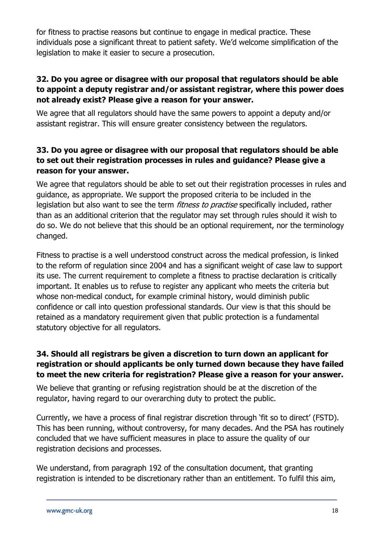for fitness to practise reasons but continue to engage in medical practice. These individuals pose a significant threat to patient safety. We'd welcome simplification of the legislation to make it easier to secure a prosecution.

### **32. Do you agree or disagree with our proposal that regulators should be able to appoint a deputy registrar and/or assistant registrar, where this power does not already exist? Please give a reason for your answer.**

We agree that all regulators should have the same powers to appoint a deputy and/or assistant registrar. This will ensure greater consistency between the regulators.

### **33. Do you agree or disagree with our proposal that regulators should be able to set out their registration processes in rules and guidance? Please give a reason for your answer.**

We agree that regulators should be able to set out their registration processes in rules and guidance, as appropriate. We support the proposed criteria to be included in the legislation but also want to see the term *fitness to practise* specifically included, rather than as an additional criterion that the regulator may set through rules should it wish to do so. We do not believe that this should be an optional requirement, nor the terminology changed.

Fitness to practise is a well understood construct across the medical profession, is linked to the reform of regulation since 2004 and has a significant weight of case law to support its use. The current requirement to complete a fitness to practise declaration is critically important. It enables us to refuse to register any applicant who meets the criteria but whose non-medical conduct, for example criminal history, would diminish public confidence or call into question professional standards. Our view is that this should be retained as a mandatory requirement given that public protection is a fundamental statutory objective for all regulators.

### **34. Should all registrars be given a discretion to turn down an applicant for registration or should applicants be only turned down because they have failed to meet the new criteria for registration? Please give a reason for your answer.**

We believe that granting or refusing registration should be at the discretion of the regulator, having regard to our overarching duty to protect the public.

Currently, we have a process of final registrar discretion through 'fit so to direct' (FSTD). This has been running, without controversy, for many decades. And the PSA has routinely concluded that we have sufficient measures in place to assure the quality of our registration decisions and processes.

We understand, from paragraph 192 of the consultation document, that granting registration is intended to be discretionary rather than an entitlement. To fulfil this aim,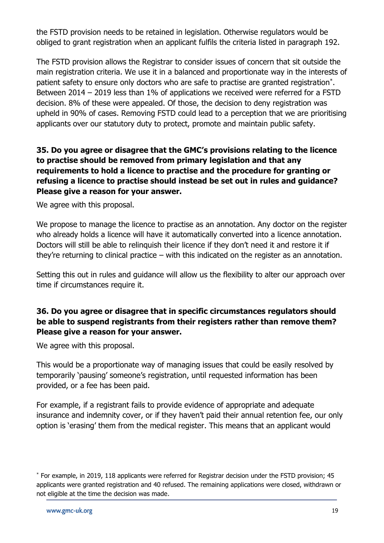the FSTD provision needs to be retained in legislation. Otherwise regulators would be obliged to grant registration when an applicant fulfils the criteria listed in paragraph 192.

The FSTD provision allows the Registrar to consider issues of concern that sit outside the main registration criteria. We use it in a balanced and proportionate way in the interests of patient safety to ensure only doctors who are safe to practise are granted registration\* . Between 2014 – 2019 less than 1% of applications we received were referred for a FSTD decision. 8% of these were appealed. Of those, the decision to deny registration was upheld in 90% of cases. Removing FSTD could lead to a perception that we are prioritising applicants over our statutory duty to protect, promote and maintain public safety.

### **35. Do you agree or disagree that the GMC's provisions relating to the licence to practise should be removed from primary legislation and that any requirements to hold a licence to practise and the procedure for granting or refusing a licence to practise should instead be set out in rules and guidance? Please give a reason for your answer.**

We agree with this proposal.

We propose to manage the licence to practise as an annotation. Any doctor on the register who already holds a licence will have it automatically converted into a licence annotation. Doctors will still be able to relinquish their licence if they don't need it and restore it if they're returning to clinical practice – with this indicated on the register as an annotation.

Setting this out in rules and guidance will allow us the flexibility to alter our approach over time if circumstances require it.

### **36. Do you agree or disagree that in specific circumstances regulators should be able to suspend registrants from their registers rather than remove them? Please give a reason for your answer.**

We agree with this proposal.

This would be a proportionate way of managing issues that could be easily resolved by temporarily 'pausing' someone's registration, until requested information has been provided, or a fee has been paid.

For example, if a registrant fails to provide evidence of appropriate and adequate insurance and indemnity cover, or if they haven't paid their annual retention fee, our only option is 'erasing' them from the medical register. This means that an applicant would

<sup>\*</sup> For example, in 2019, 118 applicants were referred for Registrar decision under the FSTD provision; 45 applicants were granted registration and 40 refused. The remaining applications were closed, withdrawn or not eligible at the time the decision was made.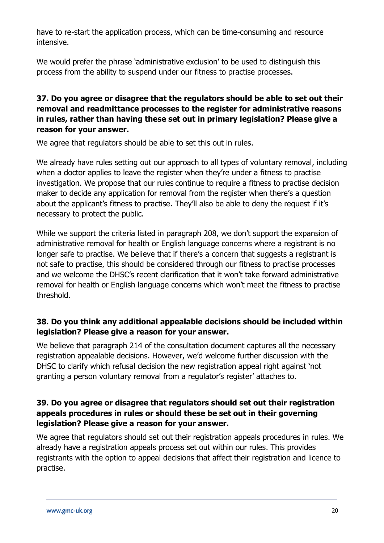have to re-start the application process, which can be time-consuming and resource intensive.

We would prefer the phrase 'administrative exclusion' to be used to distinguish this process from the ability to suspend under our fitness to practise processes.

### **37. Do you agree or disagree that the regulators should be able to set out their removal and readmittance processes to the register for administrative reasons in rules, rather than having these set out in primary legislation? Please give a reason for your answer.**

We agree that regulators should be able to set this out in rules.

We already have rules setting out our approach to all types of voluntary removal, including when a doctor applies to leave the register when they're under a fitness to practise investigation. We propose that our rules continue to require a fitness to practise decision maker to decide any application for removal from the register when there's a question about the applicant's fitness to practise. They'll also be able to deny the request if it's necessary to protect the public.

While we support the criteria listed in paragraph 208, we don't support the expansion of administrative removal for health or English language concerns where a registrant is no longer safe to practise. We believe that if there's a concern that suggests a registrant is not safe to practise, this should be considered through our fitness to practise processes and we welcome the DHSC's recent clarification that it won't take forward administrative removal for health or English language concerns which won't meet the fitness to practise threshold.

### **38. Do you think any additional appealable decisions should be included within legislation? Please give a reason for your answer.**

We believe that paragraph 214 of the consultation document captures all the necessary registration appealable decisions. However, we'd welcome further discussion with the DHSC to clarify which refusal decision the new registration appeal right against 'not granting a person voluntary removal from a regulator's register' attaches to.

### **39. Do you agree or disagree that regulators should set out their registration appeals procedures in rules or should these be set out in their governing legislation? Please give a reason for your answer.**

We agree that regulators should set out their registration appeals procedures in rules. We already have a registration appeals process set out within our rules. This provides registrants with the option to appeal decisions that affect their registration and licence to practise.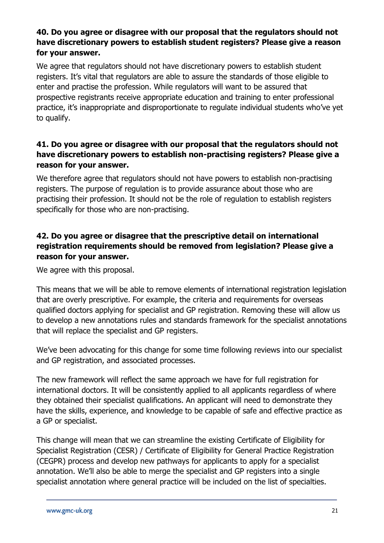### **40. Do you agree or disagree with our proposal that the regulators should not have discretionary powers to establish student registers? Please give a reason for your answer.**

We agree that regulators should not have discretionary powers to establish student registers. It's vital that regulators are able to assure the standards of those eligible to enter and practise the profession. While regulators will want to be assured that prospective registrants receive appropriate education and training to enter professional practice, it's inappropriate and disproportionate to regulate individual students who've yet to qualify.

### **41. Do you agree or disagree with our proposal that the regulators should not have discretionary powers to establish non-practising registers? Please give a reason for your answer.**

We therefore agree that regulators should not have powers to establish non-practising registers. The purpose of regulation is to provide assurance about those who are practising their profession. It should not be the role of regulation to establish registers specifically for those who are non-practising.

### **42. Do you agree or disagree that the prescriptive detail on international registration requirements should be removed from legislation? Please give a reason for your answer.**

We agree with this proposal.

This means that we will be able to remove elements of international registration legislation that are overly prescriptive. For example, the criteria and requirements for overseas qualified doctors applying for specialist and GP registration. Removing these will allow us to develop a new annotations rules and standards framework for the specialist annotations that will replace the specialist and GP registers.

We've been advocating for this change for some time following reviews into our specialist and GP registration, and associated processes.

The new framework will reflect the same approach we have for full registration for international doctors. It will be consistently applied to all applicants regardless of where they obtained their specialist qualifications. An applicant will need to demonstrate they have the skills, experience, and knowledge to be capable of safe and effective practice as a GP or specialist.

This change will mean that we can streamline the existing Certificate of Eligibility for Specialist Registration (CESR) / Certificate of Eligibility for General Practice Registration (CEGPR) process and develop new pathways for applicants to apply for a specialist annotation. We'll also be able to merge the specialist and GP registers into a single specialist annotation where general practice will be included on the list of specialties.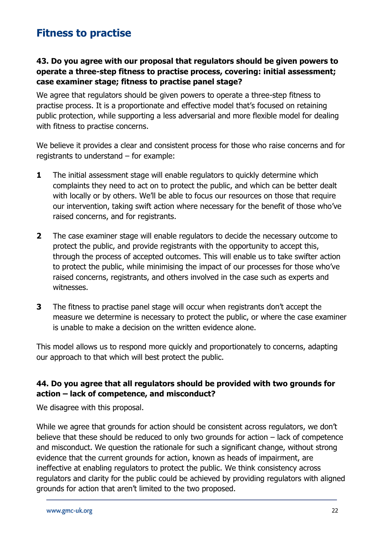### **Fitness to practise**

### **43. Do you agree with our proposal that regulators should be given powers to operate a three-step fitness to practise process, covering: initial assessment; case examiner stage; fitness to practise panel stage?**

We agree that regulators should be given powers to operate a three-step fitness to practise process. It is a proportionate and effective model that's focused on retaining public protection, while supporting a less adversarial and more flexible model for dealing with fitness to practise concerns.

We believe it provides a clear and consistent process for those who raise concerns and for registrants to understand – for example:

- **1** The initial assessment stage will enable regulators to quickly determine which complaints they need to act on to protect the public, and which can be better dealt with locally or by others. We'll be able to focus our resources on those that require our intervention, taking swift action where necessary for the benefit of those who've raised concerns, and for registrants.
- **2** The case examiner stage will enable regulators to decide the necessary outcome to protect the public, and provide registrants with the opportunity to accept this, through the process of accepted outcomes. This will enable us to take swifter action to protect the public, while minimising the impact of our processes for those who've raised concerns, registrants, and others involved in the case such as experts and witnesses.
- **3** The fitness to practise panel stage will occur when registrants don't accept the measure we determine is necessary to protect the public, or where the case examiner is unable to make a decision on the written evidence alone.

This model allows us to respond more quickly and proportionately to concerns, adapting our approach to that which will best protect the public.

### **44. Do you agree that all regulators should be provided with two grounds for action – lack of competence, and misconduct?**

We disagree with this proposal.

While we agree that grounds for action should be consistent across regulators, we don't believe that these should be reduced to only two grounds for action – lack of competence and misconduct. We question the rationale for such a significant change, without strong evidence that the current grounds for action, known as heads of impairment, are ineffective at enabling regulators to protect the public. We think consistency across regulators and clarity for the public could be achieved by providing regulators with aligned grounds for action that aren't limited to the two proposed.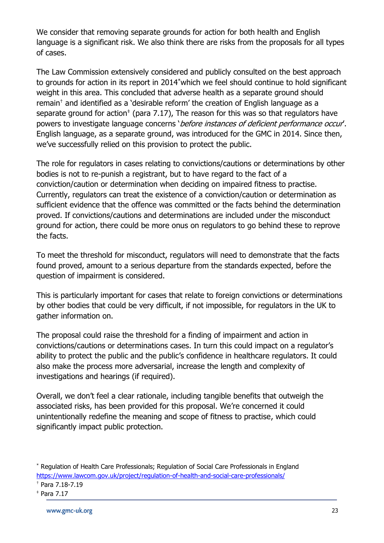We consider that removing separate grounds for action for both health and English language is a significant risk. We also think there are risks from the proposals for all types of cases.

The Law Commission extensively considered and publicly consulted on the best approach to grounds for action in its report in 2014\*which we feel should continue to hold significant weight in this area. This concluded that adverse health as a separate ground should remain† and identified as a 'desirable reform' the creation of English language as a separate ground for action<sup> $*$ </sup> (para 7.17), The reason for this was so that regulators have powers to investigate language concerns 'before instances of deficient performance occur'. English language, as a separate ground, was introduced for the GMC in 2014. Since then, we've successfully relied on this provision to protect the public.

The role for regulators in cases relating to convictions/cautions or determinations by other bodies is not to re-punish a registrant, but to have regard to the fact of a conviction/caution or determination when deciding on impaired fitness to practise. Currently, regulators can treat the existence of a conviction/caution or determination as sufficient evidence that the offence was committed or the facts behind the determination proved. If convictions/cautions and determinations are included under the misconduct ground for action, there could be more onus on regulators to go behind these to reprove the facts.

To meet the threshold for misconduct, regulators will need to demonstrate that the facts found proved, amount to a serious departure from the standards expected, before the question of impairment is considered.

This is particularly important for cases that relate to foreign convictions or determinations by other bodies that could be very difficult, if not impossible, for regulators in the UK to gather information on.

The proposal could raise the threshold for a finding of impairment and action in convictions/cautions or determinations cases. In turn this could impact on a regulator's ability to protect the public and the public's confidence in healthcare regulators. It could also make the process more adversarial, increase the length and complexity of investigations and hearings (if required).

Overall, we don't feel a clear rationale, including tangible benefits that outweigh the associated risks, has been provided for this proposal. We're concerned it could unintentionally redefine the meaning and scope of fitness to practise, which could significantly impact public protection.

<sup>\*</sup> Regulation of Health Care Professionals; Regulation of Social Care Professionals in England <https://www.lawcom.gov.uk/project/regulation-of-health-and-social-care-professionals/>

 $<sup>†</sup>$  Para 7.18-7.19</sup>

<sup>‡</sup> Para 7.17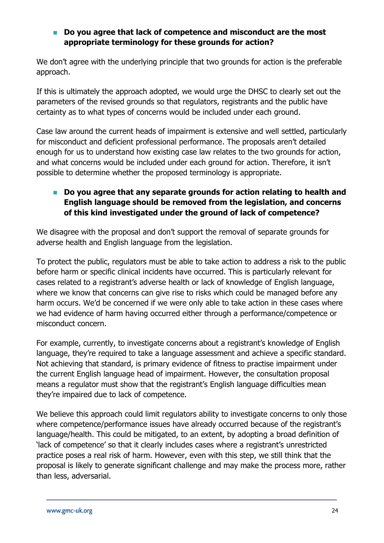### ■ Do you agree that lack of competence and misconduct are the most **appropriate terminology for these grounds for action?**

We don't agree with the underlying principle that two grounds for action is the preferable approach.

If this is ultimately the approach adopted, we would urge the DHSC to clearly set out the parameters of the revised grounds so that regulators, registrants and the public have certainty as to what types of concerns would be included under each ground.

Case law around the current heads of impairment is extensive and well settled, particularly for misconduct and deficient professional performance. The proposals aren't detailed enough for us to understand how existing case law relates to the two grounds for action, and what concerns would be included under each ground for action. Therefore, it isn't possible to determine whether the proposed terminology is appropriate.

### ■ Do you agree that any separate grounds for action relating to health and **English language should be removed from the legislation, and concerns of this kind investigated under the ground of lack of competence?**

We disagree with the proposal and don't support the removal of separate grounds for adverse health and English language from the legislation.

To protect the public, regulators must be able to take action to address a risk to the public before harm or specific clinical incidents have occurred. This is particularly relevant for cases related to a registrant's adverse health or lack of knowledge of English language, where we know that concerns can give rise to risks which could be managed before any harm occurs. We'd be concerned if we were only able to take action in these cases where we had evidence of harm having occurred either through a performance/competence or misconduct concern.

For example, currently, to investigate concerns about a registrant's knowledge of English language, they're required to take a language assessment and achieve a specific standard. Not achieving that standard, is primary evidence of fitness to practise impairment under the current English language head of impairment. However, the consultation proposal means a regulator must show that the registrant's English language difficulties mean they're impaired due to lack of competence.

We believe this approach could limit regulators ability to investigate concerns to only those where competence/performance issues have already occurred because of the registrant's language/health. This could be mitigated, to an extent, by adopting a broad definition of 'lack of competence' so that it clearly includes cases where a registrant's unrestricted practice poses a real risk of harm. However, even with this step, we still think that the proposal is likely to generate significant challenge and may make the process more, rather than less, adversarial.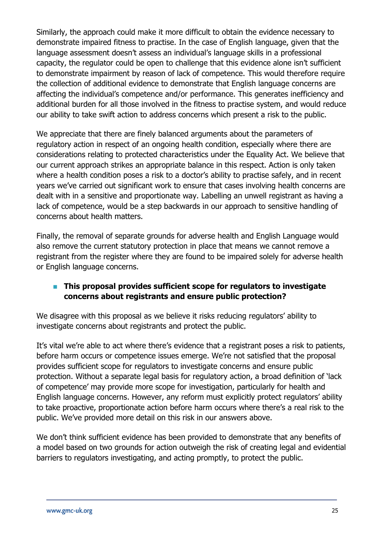Similarly, the approach could make it more difficult to obtain the evidence necessary to demonstrate impaired fitness to practise. In the case of English language, given that the language assessment doesn't assess an individual's language skills in a professional capacity, the regulator could be open to challenge that this evidence alone isn't sufficient to demonstrate impairment by reason of lack of competence. This would therefore require the collection of additional evidence to demonstrate that English language concerns are affecting the individual's competence and/or performance. This generates inefficiency and additional burden for all those involved in the fitness to practise system, and would reduce our ability to take swift action to address concerns which present a risk to the public.

We appreciate that there are finely balanced arguments about the parameters of regulatory action in respect of an ongoing health condition, especially where there are considerations relating to protected characteristics under the Equality Act. We believe that our current approach strikes an appropriate balance in this respect. Action is only taken where a health condition poses a risk to a doctor's ability to practise safely, and in recent years we've carried out significant work to ensure that cases involving health concerns are dealt with in a sensitive and proportionate way. Labelling an unwell registrant as having a lack of competence, would be a step backwards in our approach to sensitive handling of concerns about health matters.

Finally, the removal of separate grounds for adverse health and English Language would also remove the current statutory protection in place that means we cannot remove a registrant from the register where they are found to be impaired solely for adverse health or English language concerns.

### ■ This proposal provides sufficient scope for regulators to investigate **concerns about registrants and ensure public protection?**

We disagree with this proposal as we believe it risks reducing regulators' ability to investigate concerns about registrants and protect the public.

It's vital we're able to act where there's evidence that a registrant poses a risk to patients, before harm occurs or competence issues emerge. We're not satisfied that the proposal provides sufficient scope for regulators to investigate concerns and ensure public protection. Without a separate legal basis for regulatory action, a broad definition of 'lack of competence' may provide more scope for investigation, particularly for health and English language concerns. However, any reform must explicitly protect regulators' ability to take proactive, proportionate action before harm occurs where there's a real risk to the public. We've provided more detail on this risk in our answers above.

We don't think sufficient evidence has been provided to demonstrate that any benefits of a model based on two grounds for action outweigh the risk of creating legal and evidential barriers to regulators investigating, and acting promptly, to protect the public.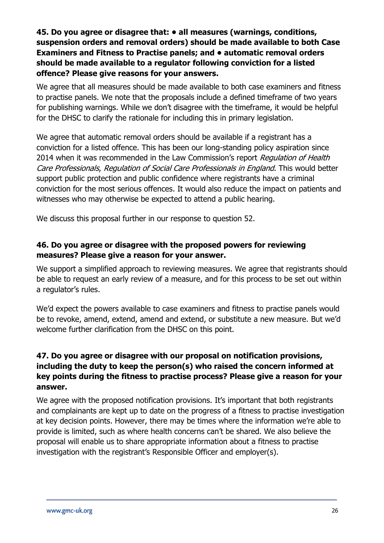### **45. Do you agree or disagree that: • all measures (warnings, conditions, suspension orders and removal orders) should be made available to both Case Examiners and Fitness to Practise panels; and • automatic removal orders should be made available to a regulator following conviction for a listed offence? Please give reasons for your answers.**

We agree that all measures should be made available to both case examiners and fitness to practise panels. We note that the proposals include a defined timeframe of two years for publishing warnings. While we don't disagree with the timeframe, it would be helpful for the DHSC to clarify the rationale for including this in primary legislation.

We agree that automatic removal orders should be available if a registrant has a conviction for a listed offence. This has been our long-standing policy aspiration since 2014 when it was recommended in the Law Commission's report Regulation of Health Care Professionals, Regulation of Social Care Professionals in England. This would better support public protection and public confidence where registrants have a criminal conviction for the most serious offences. It would also reduce the impact on patients and witnesses who may otherwise be expected to attend a public hearing.

We discuss this proposal further in our response to question 52.

### **46. Do you agree or disagree with the proposed powers for reviewing measures? Please give a reason for your answer.**

We support a simplified approach to reviewing measures. We agree that registrants should be able to request an early review of a measure, and for this process to be set out within a regulator's rules.

We'd expect the powers available to case examiners and fitness to practise panels would be to revoke, amend, extend, amend and extend, or substitute a new measure. But we'd welcome further clarification from the DHSC on this point.

### **47. Do you agree or disagree with our proposal on notification provisions, including the duty to keep the person(s) who raised the concern informed at key points during the fitness to practise process? Please give a reason for your answer.**

We agree with the proposed notification provisions. It's important that both registrants and complainants are kept up to date on the progress of a fitness to practise investigation at key decision points. However, there may be times where the information we're able to provide is limited, such as where health concerns can't be shared. We also believe the proposal will enable us to share appropriate information about a fitness to practise investigation with the registrant's Responsible Officer and employer(s).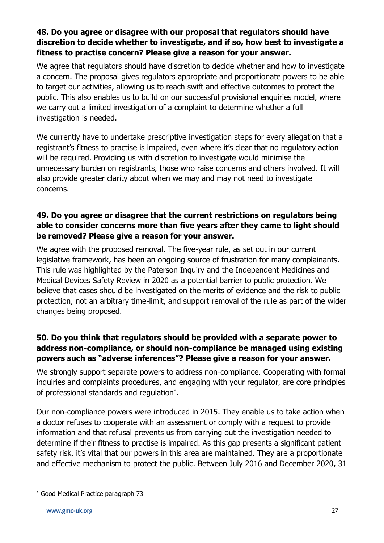### **48. Do you agree or disagree with our proposal that regulators should have discretion to decide whether to investigate, and if so, how best to investigate a fitness to practise concern? Please give a reason for your answer.**

We agree that regulators should have discretion to decide whether and how to investigate a concern. The proposal gives regulators appropriate and proportionate powers to be able to target our activities, allowing us to reach swift and effective outcomes to protect the public. This also enables us to build on our successful provisional enquiries model, where we carry out a limited investigation of a complaint to determine whether a full investigation is needed.

We currently have to undertake prescriptive investigation steps for every allegation that a registrant's fitness to practise is impaired, even where it's clear that no regulatory action will be required. Providing us with discretion to investigate would minimise the unnecessary burden on registrants, those who raise concerns and others involved. It will also provide greater clarity about when we may and may not need to investigate concerns.

### **49. Do you agree or disagree that the current restrictions on regulators being able to consider concerns more than five years after they came to light should be removed? Please give a reason for your answer.**

We agree with the proposed removal. The five-year rule, as set out in our current legislative framework, has been an ongoing source of frustration for many complainants. This rule was highlighted by the Paterson Inquiry and the Independent Medicines and Medical Devices Safety Review in 2020 as a potential barrier to public protection. We believe that cases should be investigated on the merits of evidence and the risk to public protection, not an arbitrary time-limit, and support removal of the rule as part of the wider changes being proposed.

### **50. Do you think that regulators should be provided with a separate power to address non-compliance, or should non-compliance be managed using existing powers such as "adverse inferences"? Please give a reason for your answer.**

We strongly support separate powers to address non-compliance. Cooperating with formal inquiries and complaints procedures, and engaging with your regulator, are core principles of professional standards and regulation\* .

Our non-compliance powers were introduced in 2015. They enable us to take action when a doctor refuses to cooperate with an assessment or comply with a request to provide information and that refusal prevents us from carrying out the investigation needed to determine if their fitness to practise is impaired. As this gap presents a significant patient safety risk, it's vital that our powers in this area are maintained. They are a proportionate and effective mechanism to protect the public. Between July 2016 and December 2020, 31

<sup>\*</sup> Good Medical Practice paragraph 73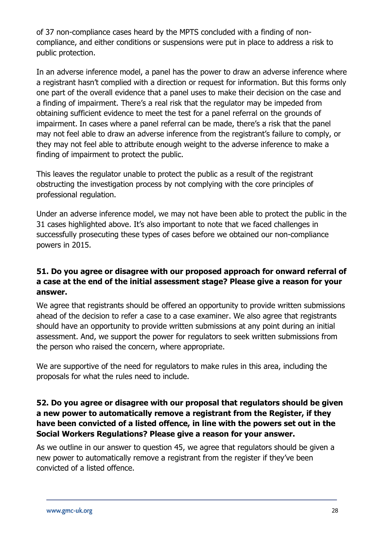of 37 non-compliance cases heard by the MPTS concluded with a finding of noncompliance, and either conditions or suspensions were put in place to address a risk to public protection.

In an adverse inference model, a panel has the power to draw an adverse inference where a registrant hasn't complied with a direction or request for information. But this forms only one part of the overall evidence that a panel uses to make their decision on the case and a finding of impairment. There's a real risk that the regulator may be impeded from obtaining sufficient evidence to meet the test for a panel referral on the grounds of impairment. In cases where a panel referral can be made, there's a risk that the panel may not feel able to draw an adverse inference from the registrant's failure to comply, or they may not feel able to attribute enough weight to the adverse inference to make a finding of impairment to protect the public.

This leaves the regulator unable to protect the public as a result of the registrant obstructing the investigation process by not complying with the core principles of professional regulation.

Under an adverse inference model, we may not have been able to protect the public in the 31 cases highlighted above. It's also important to note that we faced challenges in successfully prosecuting these types of cases before we obtained our non-compliance powers in 2015.

### **51. Do you agree or disagree with our proposed approach for onward referral of a case at the end of the initial assessment stage? Please give a reason for your answer.**

We agree that registrants should be offered an opportunity to provide written submissions ahead of the decision to refer a case to a case examiner. We also agree that registrants should have an opportunity to provide written submissions at any point during an initial assessment. And, we support the power for regulators to seek written submissions from the person who raised the concern, where appropriate.

We are supportive of the need for regulators to make rules in this area, including the proposals for what the rules need to include.

### **52. Do you agree or disagree with our proposal that regulators should be given a new power to automatically remove a registrant from the Register, if they have been convicted of a listed offence, in line with the powers set out in the Social Workers Regulations? Please give a reason for your answer.**

As we outline in our answer to question 45, we agree that regulators should be given a new power to automatically remove a registrant from the register if they've been convicted of a listed offence.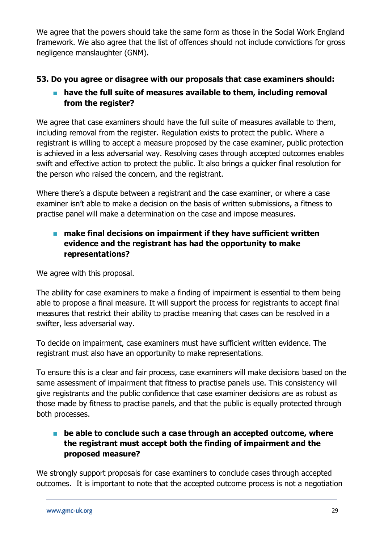We agree that the powers should take the same form as those in the Social Work England framework. We also agree that the list of offences should not include convictions for gross negligence manslaughter (GNM).

### **53. Do you agree or disagree with our proposals that case examiners should:**

### ■ have the full suite of measures available to them, including removal **from the register?**

We agree that case examiners should have the full suite of measures available to them, including removal from the register. Regulation exists to protect the public. Where a registrant is willing to accept a measure proposed by the case examiner, public protection is achieved in a less adversarial way. Resolving cases through accepted outcomes enables swift and effective action to protect the public. It also brings a quicker final resolution for the person who raised the concern, and the registrant.

Where there's a dispute between a registrant and the case examiner, or where a case examiner isn't able to make a decision on the basis of written submissions, a fitness to practise panel will make a determination on the case and impose measures.

### ■ make final decisions on impairment if they have sufficient written **evidence and the registrant has had the opportunity to make representations?**

We agree with this proposal.

The ability for case examiners to make a finding of impairment is essential to them being able to propose a final measure. It will support the process for registrants to accept final measures that restrict their ability to practise meaning that cases can be resolved in a swifter, less adversarial way.

To decide on impairment, case examiners must have sufficient written evidence. The registrant must also have an opportunity to make representations.

To ensure this is a clear and fair process, case examiners will make decisions based on the same assessment of impairment that fitness to practise panels use. This consistency will give registrants and the public confidence that case examiner decisions are as robust as those made by fitness to practise panels, and that the public is equally protected through both processes.

### ■ be able to conclude such a case through an accepted outcome, where **the registrant must accept both the finding of impairment and the proposed measure?**

We strongly support proposals for case examiners to conclude cases through accepted outcomes. It is important to note that the accepted outcome process is not a negotiation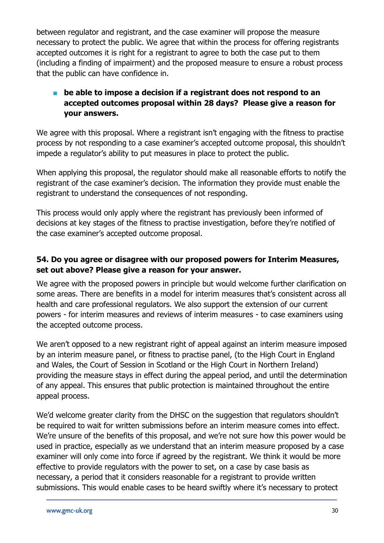between regulator and registrant, and the case examiner will propose the measure necessary to protect the public. We agree that within the process for offering registrants accepted outcomes it is right for a registrant to agree to both the case put to them (including a finding of impairment) and the proposed measure to ensure a robust process that the public can have confidence in.

### ■ be able to impose a decision if a registrant does not respond to an **accepted outcomes proposal within 28 days? Please give a reason for your answers.**

We agree with this proposal. Where a registrant isn't engaging with the fitness to practise process by not responding to a case examiner's accepted outcome proposal, this shouldn't impede a regulator's ability to put measures in place to protect the public.

When applying this proposal, the regulator should make all reasonable efforts to notify the registrant of the case examiner's decision. The information they provide must enable the registrant to understand the consequences of not responding.

This process would only apply where the registrant has previously been informed of decisions at key stages of the fitness to practise investigation, before they're notified of the case examiner's accepted outcome proposal.

### **54. Do you agree or disagree with our proposed powers for Interim Measures, set out above? Please give a reason for your answer.**

We agree with the proposed powers in principle but would welcome further clarification on some areas. There are benefits in a model for interim measures that's consistent across all health and care professional regulators. We also support the extension of our current powers - for interim measures and reviews of interim measures - to case examiners using the accepted outcome process.

We aren't opposed to a new registrant right of appeal against an interim measure imposed by an interim measure panel, or fitness to practise panel, (to the High Court in England and Wales, the Court of Session in Scotland or the High Court in Northern Ireland) providing the measure stays in effect during the appeal period, and until the determination of any appeal. This ensures that public protection is maintained throughout the entire appeal process.

We'd welcome greater clarity from the DHSC on the suggestion that regulators shouldn't be required to wait for written submissions before an interim measure comes into effect. We're unsure of the benefits of this proposal, and we're not sure how this power would be used in practice, especially as we understand that an interim measure proposed by a case examiner will only come into force if agreed by the registrant. We think it would be more effective to provide regulators with the power to set, on a case by case basis as necessary, a period that it considers reasonable for a registrant to provide written submissions. This would enable cases to be heard swiftly where it's necessary to protect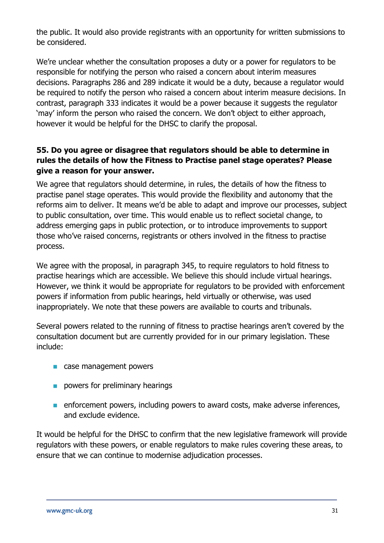the public. It would also provide registrants with an opportunity for written submissions to be considered.

We're unclear whether the consultation proposes a duty or a power for regulators to be responsible for notifying the person who raised a concern about interim measures decisions. Paragraphs 286 and 289 indicate it would be a duty, because a regulator would be required to notify the person who raised a concern about interim measure decisions. In contrast, paragraph 333 indicates it would be a power because it suggests the regulator 'may' inform the person who raised the concern. We don't object to either approach, however it would be helpful for the DHSC to clarify the proposal.

### **55. Do you agree or disagree that regulators should be able to determine in rules the details of how the Fitness to Practise panel stage operates? Please give a reason for your answer.**

We agree that regulators should determine, in rules, the details of how the fitness to practise panel stage operates. This would provide the flexibility and autonomy that the reforms aim to deliver. It means we'd be able to adapt and improve our processes, subject to public consultation, over time. This would enable us to reflect societal change, to address emerging gaps in public protection, or to introduce improvements to support those who've raised concerns, registrants or others involved in the fitness to practise process.

We agree with the proposal, in paragraph 345, to require regulators to hold fitness to practise hearings which are accessible. We believe this should include virtual hearings. However, we think it would be appropriate for regulators to be provided with enforcement powers if information from public hearings, held virtually or otherwise, was used inappropriately. We note that these powers are available to courts and tribunals.

Several powers related to the running of fitness to practise hearings aren't covered by the consultation document but are currently provided for in our primary legislation. These include:

- case management powers
- powers for preliminary hearings
- enforcement powers, including powers to award costs, make adverse inferences, and exclude evidence.

It would be helpful for the DHSC to confirm that the new legislative framework will provide regulators with these powers, or enable regulators to make rules covering these areas, to ensure that we can continue to modernise adjudication processes.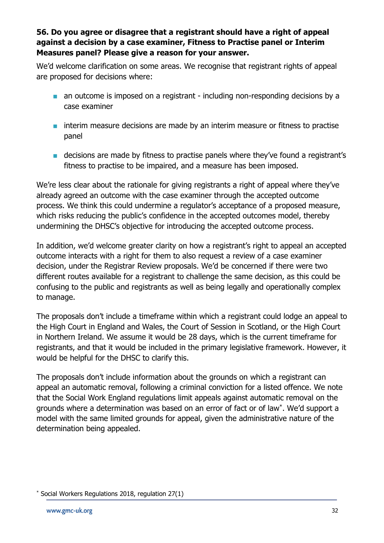### **56. Do you agree or disagree that a registrant should have a right of appeal against a decision by a case examiner, Fitness to Practise panel or Interim Measures panel? Please give a reason for your answer.**

We'd welcome clarification on some areas. We recognise that registrant rights of appeal are proposed for decisions where:

- an outcome is imposed on a registrant including non-responding decisions by a case examiner
- interim measure decisions are made by an interim measure or fitness to practise panel
- decisions are made by fitness to practise panels where they've found a registrant's fitness to practise to be impaired, and a measure has been imposed.

We're less clear about the rationale for giving registrants a right of appeal where they've already agreed an outcome with the case examiner through the accepted outcome process. We think this could undermine a regulator's acceptance of a proposed measure, which risks reducing the public's confidence in the accepted outcomes model, thereby undermining the DHSC's objective for introducing the accepted outcome process.

In addition, we'd welcome greater clarity on how a registrant's right to appeal an accepted outcome interacts with a right for them to also request a review of a case examiner decision, under the Registrar Review proposals. We'd be concerned if there were two different routes available for a registrant to challenge the same decision, as this could be confusing to the public and registrants as well as being legally and operationally complex to manage.

The proposals don't include a timeframe within which a registrant could lodge an appeal to the High Court in England and Wales, the Court of Session in Scotland, or the High Court in Northern Ireland. We assume it would be 28 days, which is the current timeframe for registrants, and that it would be included in the primary legislative framework. However, it would be helpful for the DHSC to clarify this.

The proposals don't include information about the grounds on which a registrant can appeal an automatic removal, following a criminal conviction for a listed offence. We note that the Social Work England regulations limit appeals against automatic removal on the grounds where a determination was based on an error of fact or of law\* . We'd support a model with the same limited grounds for appeal, given the administrative nature of the determination being appealed.

Social Workers Regulations 2018, regulation 27(1)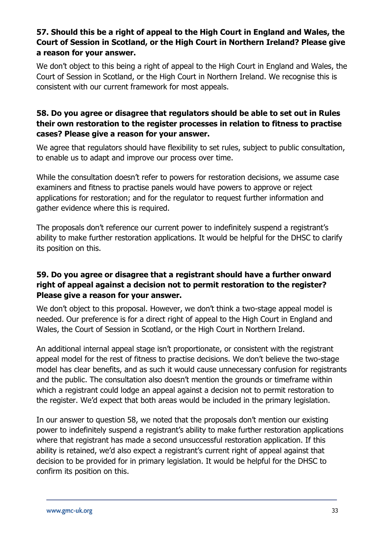### **57. Should this be a right of appeal to the High Court in England and Wales, the Court of Session in Scotland, or the High Court in Northern Ireland? Please give a reason for your answer.**

We don't object to this being a right of appeal to the High Court in England and Wales, the Court of Session in Scotland, or the High Court in Northern Ireland. We recognise this is consistent with our current framework for most appeals.

### **58. Do you agree or disagree that regulators should be able to set out in Rules their own restoration to the register processes in relation to fitness to practise cases? Please give a reason for your answer.**

We agree that regulators should have flexibility to set rules, subject to public consultation, to enable us to adapt and improve our process over time.

While the consultation doesn't refer to powers for restoration decisions, we assume case examiners and fitness to practise panels would have powers to approve or reject applications for restoration; and for the regulator to request further information and gather evidence where this is required.

The proposals don't reference our current power to indefinitely suspend a registrant's ability to make further restoration applications. It would be helpful for the DHSC to clarify its position on this.

### **59. Do you agree or disagree that a registrant should have a further onward right of appeal against a decision not to permit restoration to the register? Please give a reason for your answer.**

We don't object to this proposal. However, we don't think a two-stage appeal model is needed. Our preference is for a direct right of appeal to the High Court in England and Wales, the Court of Session in Scotland, or the High Court in Northern Ireland.

An additional internal appeal stage isn't proportionate, or consistent with the registrant appeal model for the rest of fitness to practise decisions. We don't believe the two-stage model has clear benefits, and as such it would cause unnecessary confusion for registrants and the public. The consultation also doesn't mention the grounds or timeframe within which a registrant could lodge an appeal against a decision not to permit restoration to the register. We'd expect that both areas would be included in the primary legislation.

In our answer to question 58, we noted that the proposals don't mention our existing power to indefinitely suspend a registrant's ability to make further restoration applications where that registrant has made a second unsuccessful restoration application. If this ability is retained, we'd also expect a registrant's current right of appeal against that decision to be provided for in primary legislation. It would be helpful for the DHSC to confirm its position on this.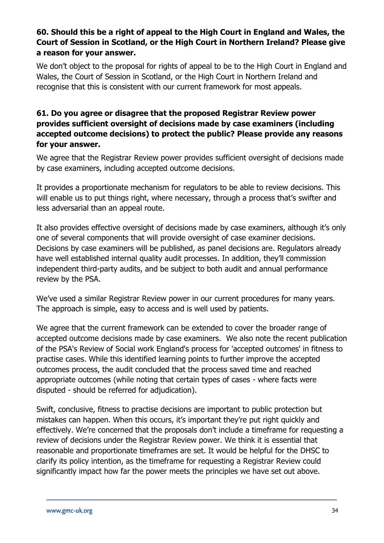### **60. Should this be a right of appeal to the High Court in England and Wales, the Court of Session in Scotland, or the High Court in Northern Ireland? Please give a reason for your answer.**

We don't object to the proposal for rights of appeal to be to the High Court in England and Wales, the Court of Session in Scotland, or the High Court in Northern Ireland and recognise that this is consistent with our current framework for most appeals.

### **61. Do you agree or disagree that the proposed Registrar Review power provides sufficient oversight of decisions made by case examiners (including accepted outcome decisions) to protect the public? Please provide any reasons for your answer.**

We agree that the Registrar Review power provides sufficient oversight of decisions made by case examiners, including accepted outcome decisions.

It provides a proportionate mechanism for regulators to be able to review decisions. This will enable us to put things right, where necessary, through a process that's swifter and less adversarial than an appeal route.

It also provides effective oversight of decisions made by case examiners, although it's only one of several components that will provide oversight of case examiner decisions. Decisions by case examiners will be published, as panel decisions are. Regulators already have well established internal quality audit processes. In addition, they'll commission independent third-party audits, and be subject to both audit and annual performance review by the PSA.

We've used a similar Registrar Review power in our current procedures for many years. The approach is simple, easy to access and is well used by patients.

We agree that the current framework can be extended to cover the broader range of accepted outcome decisions made by case examiners. We also note the recent publication of the PSA's Review of Social work England's process for 'accepted outcomes' in fitness to practise cases. While this identified learning points to further improve the accepted outcomes process, the audit concluded that the process saved time and reached appropriate outcomes (while noting that certain types of cases - where facts were disputed - should be referred for adjudication).

Swift, conclusive, fitness to practise decisions are important to public protection but mistakes can happen. When this occurs, it's important they're put right quickly and effectively. We're concerned that the proposals don't include a timeframe for requesting a review of decisions under the Registrar Review power. We think it is essential that reasonable and proportionate timeframes are set. It would be helpful for the DHSC to clarify its policy intention, as the timeframe for requesting a Registrar Review could significantly impact how far the power meets the principles we have set out above.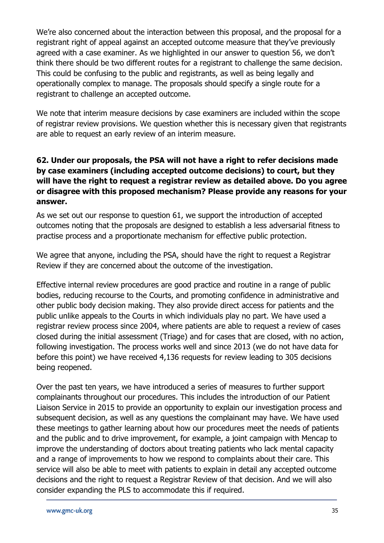We're also concerned about the interaction between this proposal, and the proposal for a registrant right of appeal against an accepted outcome measure that they've previously agreed with a case examiner. As we highlighted in our answer to question 56, we don't think there should be two different routes for a registrant to challenge the same decision. This could be confusing to the public and registrants, as well as being legally and operationally complex to manage. The proposals should specify a single route for a registrant to challenge an accepted outcome.

We note that interim measure decisions by case examiners are included within the scope of registrar review provisions. We question whether this is necessary given that registrants are able to request an early review of an interim measure.

### **62. Under our proposals, the PSA will not have a right to refer decisions made by case examiners (including accepted outcome decisions) to court, but they will have the right to request a registrar review as detailed above. Do you agree or disagree with this proposed mechanism? Please provide any reasons for your answer.**

As we set out our response to question 61, we support the introduction of accepted outcomes noting that the proposals are designed to establish a less adversarial fitness to practise process and a proportionate mechanism for effective public protection.

We agree that anyone, including the PSA, should have the right to request a Registrar Review if they are concerned about the outcome of the investigation.

Effective internal review procedures are good practice and routine in a range of public bodies, reducing recourse to the Courts, and promoting confidence in administrative and other public body decision making. They also provide direct access for patients and the public unlike appeals to the Courts in which individuals play no part. We have used a registrar review process since 2004, where patients are able to request a review of cases closed during the initial assessment (Triage) and for cases that are closed, with no action, following investigation. The process works well and since 2013 (we do not have data for before this point) we have received 4,136 requests for review leading to 305 decisions being reopened.

Over the past ten years, we have introduced a series of measures to further support complainants throughout our procedures. This includes the introduction of our Patient Liaison Service in 2015 to provide an opportunity to explain our investigation process and subsequent decision, as well as any questions the complainant may have. We have used these meetings to gather learning about how our procedures meet the needs of patients and the public and to drive improvement, for example, a joint campaign with Mencap to improve the understanding of doctors about treating patients who lack mental capacity and a range of improvements to how we respond to complaints about their care. This service will also be able to meet with patients to explain in detail any accepted outcome decisions and the right to request a Registrar Review of that decision. And we will also consider expanding the PLS to accommodate this if required.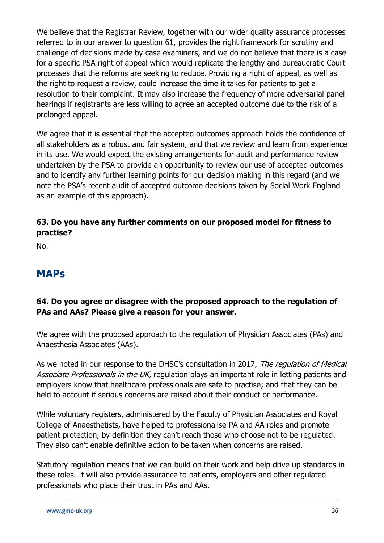We believe that the Registrar Review, together with our wider quality assurance processes referred to in our answer to question 61, provides the right framework for scrutiny and challenge of decisions made by case examiners, and we do not believe that there is a case for a specific PSA right of appeal which would replicate the lengthy and bureaucratic Court processes that the reforms are seeking to reduce. Providing a right of appeal, as well as the right to request a review, could increase the time it takes for patients to get a resolution to their complaint. It may also increase the frequency of more adversarial panel hearings if registrants are less willing to agree an accepted outcome due to the risk of a prolonged appeal.

We agree that it is essential that the accepted outcomes approach holds the confidence of all stakeholders as a robust and fair system, and that we review and learn from experience in its use. We would expect the existing arrangements for audit and performance review undertaken by the PSA to provide an opportunity to review our use of accepted outcomes and to identify any further learning points for our decision making in this regard (and we note the PSA's recent audit of accepted outcome decisions taken by Social Work England as an example of this approach).

### **63. Do you have any further comments on our proposed model for fitness to practise?**

No.

### **MAPs**

### **64. Do you agree or disagree with the proposed approach to the regulation of PAs and AAs? Please give a reason for your answer.**

We agree with the proposed approach to the regulation of Physician Associates (PAs) and Anaesthesia Associates (AAs).

As we noted in our response to the DHSC's consultation in 2017, The regulation of Medical Associate Professionals in the UK, regulation plays an important role in letting patients and employers know that healthcare professionals are safe to practise; and that they can be held to account if serious concerns are raised about their conduct or performance.

While voluntary registers, administered by the Faculty of Physician Associates and Royal College of Anaesthetists, have helped to professionalise PA and AA roles and promote patient protection, by definition they can't reach those who choose not to be regulated. They also can't enable definitive action to be taken when concerns are raised.

Statutory regulation means that we can build on their work and help drive up standards in these roles. It will also provide assurance to patients, employers and other regulated professionals who place their trust in PAs and AAs.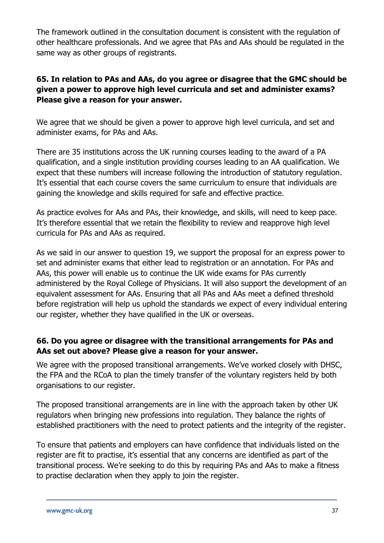The framework outlined in the consultation document is consistent with the regulation of other healthcare professionals. And we agree that PAs and AAs should be regulated in the same way as other groups of registrants.

### **65. In relation to PAs and AAs, do you agree or disagree that the GMC should be given a power to approve high level curricula and set and administer exams? Please give a reason for your answer.**

We agree that we should be given a power to approve high level curricula, and set and administer exams, for PAs and AAs.

There are 35 institutions across the UK running courses leading to the award of a PA qualification, and a single institution providing courses leading to an AA qualification. We expect that these numbers will increase following the introduction of statutory regulation. It's essential that each course covers the same curriculum to ensure that individuals are gaining the knowledge and skills required for safe and effective practice.

As practice evolves for AAs and PAs, their knowledge, and skills, will need to keep pace. It's therefore essential that we retain the flexibility to review and reapprove high level curricula for PAs and AAs as required.

As we said in our answer to question 19, we support the proposal for an express power to set and administer exams that either lead to registration or an annotation. For PAs and AAs, this power will enable us to continue the UK wide exams for PAs currently administered by the Royal College of Physicians. It will also support the development of an equivalent assessment for AAs. Ensuring that all PAs and AAs meet a defined threshold before registration will help us uphold the standards we expect of every individual entering our register, whether they have qualified in the UK or overseas.

### **66. Do you agree or disagree with the transitional arrangements for PAs and AAs set out above? Please give a reason for your answer.**

We agree with the proposed transitional arrangements. We've worked closely with DHSC, the FPA and the RCoA to plan the timely transfer of the voluntary registers held by both organisations to our register.

The proposed transitional arrangements are in line with the approach taken by other UK regulators when bringing new professions into regulation. They balance the rights of established practitioners with the need to protect patients and the integrity of the register.

To ensure that patients and employers can have confidence that individuals listed on the register are fit to practise, it's essential that any concerns are identified as part of the transitional process. We're seeking to do this by requiring PAs and AAs to make a fitness to practise declaration when they apply to join the register.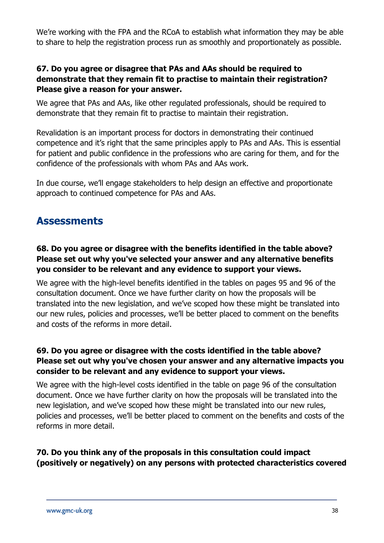We're working with the FPA and the RCoA to establish what information they may be able to share to help the registration process run as smoothly and proportionately as possible.

### **67. Do you agree or disagree that PAs and AAs should be required to demonstrate that they remain fit to practise to maintain their registration? Please give a reason for your answer.**

We agree that PAs and AAs, like other regulated professionals, should be required to demonstrate that they remain fit to practise to maintain their registration.

Revalidation is an important process for doctors in demonstrating their continued competence and it's right that the same principles apply to PAs and AAs. This is essential for patient and public confidence in the professions who are caring for them, and for the confidence of the professionals with whom PAs and AAs work.

In due course, we'll engage stakeholders to help design an effective and proportionate approach to continued competence for PAs and AAs.

### **Assessments**

### **68. Do you agree or disagree with the benefits identified in the table above? Please set out why you've selected your answer and any alternative benefits you consider to be relevant and any evidence to support your views.**

We agree with the high-level benefits identified in the tables on pages 95 and 96 of the consultation document. Once we have further clarity on how the proposals will be translated into the new legislation, and we've scoped how these might be translated into our new rules, policies and processes, we'll be better placed to comment on the benefits and costs of the reforms in more detail.

### **69. Do you agree or disagree with the costs identified in the table above? Please set out why you've chosen your answer and any alternative impacts you consider to be relevant and any evidence to support your views.**

We agree with the high-level costs identified in the table on page 96 of the consultation document. Once we have further clarity on how the proposals will be translated into the new legislation, and we've scoped how these might be translated into our new rules, policies and processes, we'll be better placed to comment on the benefits and costs of the reforms in more detail.

### **70. Do you think any of the proposals in this consultation could impact (positively or negatively) on any persons with protected characteristics covered**